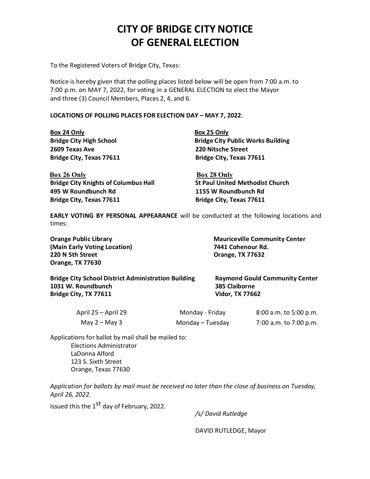## CITY OF BRIDGE CITY NOTICE OF GENERAL ELECTION

To the Registered Voters of Bridge City, Texas:

Notice is hereby given that the polling places listed below will be open from 7:00 a.m. to 7:00 p.m. on MAY 7, 2022, for voting in a GENERAL ELECTION to elect the Mayor and three (3) Council Members, Places 2, 4, and 6.

## LOCATIONS OF POLLING PLACES FOR ELECTION DAY - MAY 7, 2022:

Box 24 Only **Box 25 Only** 2609TexasAve 220Nitsche Street

Bridge City High School **Bridge City Public Works Building** Bridge City, Texas 77611 Bridge City, Texas 77611

Box 26 Only Box 28 Only Bridge City Knights of Columbus Hall St Paul United Methodist Church 495 WRoundbunch Rd 1155WRoundbunchRd Bridge City, Texas 77611 Bridge City, Texas 77611

EARLY VOTING BY PERSONAL APPEARANCE will be conducted at the following locations and times:

(Main Early Voting Location) 7441 Cohenour Rd. 220 N 5th Street **Dramach Except Constructs** Crange, TX 77632 **Orange, TX 77630** 

Orange Public Library **Mauriceville Community Center** Mauriceville Community Center

Bridge City School District Administration Building Raymond Gould Community Center 1031 W. Roundbunch **385 Claiborne** Bridge City, TX 77611 Vidor, TX 77662

| April 25 – April 29 | Monday - Friday  | 8:00 a.m. to 5:00 p.m. |
|---------------------|------------------|------------------------|
| May $2 -$ May 3     | Monday - Tuesday | 7:00 a.m. to 7:00 p.m. |

Applications for ballot by mail shall be mailed to: Elections Administrator LaDonna Alford 123S. Sixth Street Orange, Texas 77630

Application for ballots by mail must be received no later than the close of business on Tuesday, April26,2022.

Issued this the  $1<sup>st</sup>$  day of February, 2022.

/s/David Rutledge

DAVID RUTLEDGE, Mayor